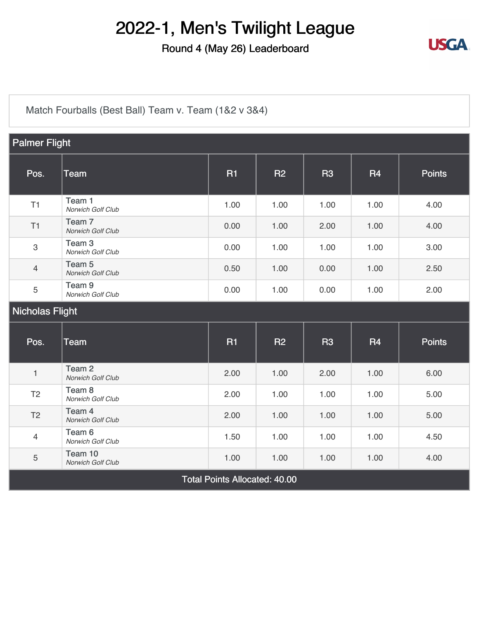### Round 4 (May 26) Leaderboard



[Match Fourballs \(Best Ball\) Team v. Team \(1&2 v 3&4\)](https://static.golfgenius.com/v2tournaments/8326500825769738993?called_from=&round_index=4)

| <b>Palmer Flight</b>                 |                                        |           |           |                |           |               |
|--------------------------------------|----------------------------------------|-----------|-----------|----------------|-----------|---------------|
| Pos.                                 | <b>Team</b>                            | <b>R1</b> | <b>R2</b> | R <sub>3</sub> | <b>R4</b> | <b>Points</b> |
| T1                                   | Team 1<br>Norwich Golf Club            | 1.00      | 1.00      | 1.00           | 1.00      | 4.00          |
| T1                                   | Team <sub>7</sub><br>Norwich Golf Club | 0.00      | 1.00      | 2.00           | 1.00      | 4.00          |
| 3                                    | Team <sub>3</sub><br>Norwich Golf Club | 0.00      | 1.00      | 1.00           | 1.00      | 3.00          |
| $\overline{4}$                       | Team 5<br><b>Norwich Golf Club</b>     | 0.50      | 1.00      | 0.00           | 1.00      | 2.50          |
| 5                                    | Team <sub>9</sub><br>Norwich Golf Club | 0.00      | 1.00      | 0.00           | 1.00      | 2.00          |
| <b>Nicholas Flight</b>               |                                        |           |           |                |           |               |
| Pos.                                 | <b>Team</b>                            | <b>R1</b> | <b>R2</b> | R <sub>3</sub> | <b>R4</b> | <b>Points</b> |
| $\mathbf{1}$                         | Team <sub>2</sub><br>Norwich Golf Club | 2.00      | 1.00      | 2.00           | 1.00      | 6.00          |
| T <sub>2</sub>                       | Team <sub>8</sub><br>Norwich Golf Club | 2.00      | 1.00      | 1.00           | 1.00      | 5.00          |
| T <sub>2</sub>                       | Team 4<br>Norwich Golf Club            | 2.00      | 1.00      | 1.00           | 1.00      | 5.00          |
| $\overline{4}$                       | Team 6<br><b>Norwich Golf Club</b>     | 1.50      | 1.00      | 1.00           | 1.00      | 4.50          |
| 5                                    | Team 10<br>Norwich Golf Club           | 1.00      | 1.00      | 1.00           | 1.00      | 4.00          |
| <b>Total Points Allocated: 40.00</b> |                                        |           |           |                |           |               |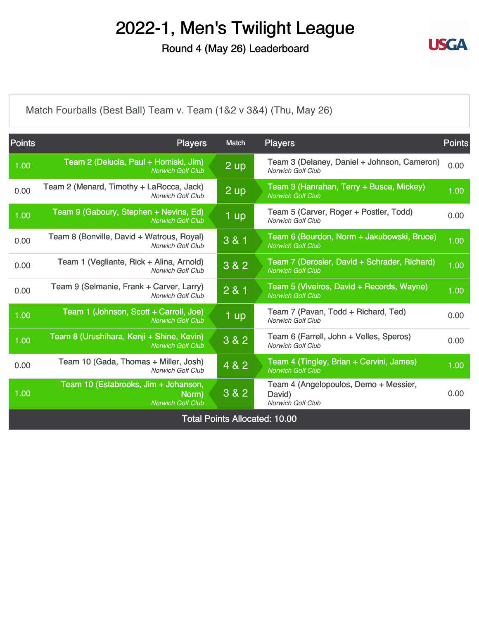Round 4 (May 26) Leaderboard



[Match Fourballs \(Best Ball\) Team v. Team \(1&2 v 3&4\) \(Thu, May 26\)](https://static.golfgenius.com/v2tournaments/8326500836406493941?called_from=&round_index=4)

| <b>Points</b>                        | <b>Players</b>                                                            | Match             | <b>Players</b>                                                              | <b>Points</b> |  |
|--------------------------------------|---------------------------------------------------------------------------|-------------------|-----------------------------------------------------------------------------|---------------|--|
| 1.00                                 | Team 2 (Delucia, Paul + Homiski, Jim)<br><b>Norwich Golf Club</b>         | $2 \text{ up}$    | Team 3 (Delaney, Daniel + Johnson, Cameron)<br><b>Norwich Golf Club</b>     | 0.00          |  |
| 0.00                                 | Team 2 (Menard, Timothy + LaRocca, Jack)<br><b>Norwich Golf Club</b>      | $2 \overline{up}$ | Team 3 (Hanrahan, Terry + Busca, Mickey)<br><b>Norwich Golf Club</b>        | 1.00          |  |
| 1.00                                 | Team 9 (Gaboury, Stephen + Nevins, Ed)<br><b>Norwich Golf Club</b>        | $1$ up            | Team 5 (Carver, Roger + Postler, Todd)<br>Norwich Golf Club                 | 0.00          |  |
| 0.00                                 | Team 8 (Bonville, David + Watrous, Royal)<br><b>Norwich Golf Club</b>     | 3 & 1             | Team 6 (Bourdon, Norm + Jakubowski, Bruce)<br><b>Norwich Golf Club</b>      | 1.00          |  |
| 0.00                                 | Team 1 (Vegliante, Rick + Alina, Arnold)<br><b>Norwich Golf Club</b>      | 3 & 2             | Team 7 (Derosier, David + Schrader, Richard)<br><b>Norwich Golf Club</b>    | 1.00          |  |
| 0.00                                 | Team 9 (Selmanie, Frank + Carver, Larry)<br><b>Norwich Golf Club</b>      | 2 & 1             | Team 5 (Viveiros, David + Records, Wayne)<br><b>Norwich Golf Club</b>       | 1.00          |  |
| 1.00                                 | Team 1 (Johnson, Scott + Carroll, Joe)<br><b>Norwich Golf Club</b>        | $1$ up            | Team 7 (Pavan, Todd + Richard, Ted)<br>Norwich Golf Club                    | 0.00          |  |
| 1.00                                 | Team 8 (Urushihara, Kenji + Shine, Kevin)<br><b>Norwich Golf Club</b>     | $3 & 2$           | Team 6 (Farrell, John + Velles, Speros)<br><b>Norwich Golf Club</b>         | 0.00          |  |
| 0.00                                 | Team 10 (Gada, Thomas + Miller, Josh)<br><b>Norwich Golf Club</b>         | 4 & 2             | Team 4 (Tingley, Brian + Cervini, James)<br><b>Norwich Golf Club</b>        | 1.00          |  |
| 1.00                                 | Team 10 (Estabrooks, Jim + Johanson,<br>Norm)<br><b>Norwich Golf Club</b> | $3&8&2$           | Team 4 (Angelopoulos, Demo + Messier,<br>David)<br><b>Norwich Golf Club</b> | 0.00          |  |
| <b>Total Points Allocated: 10.00</b> |                                                                           |                   |                                                                             |               |  |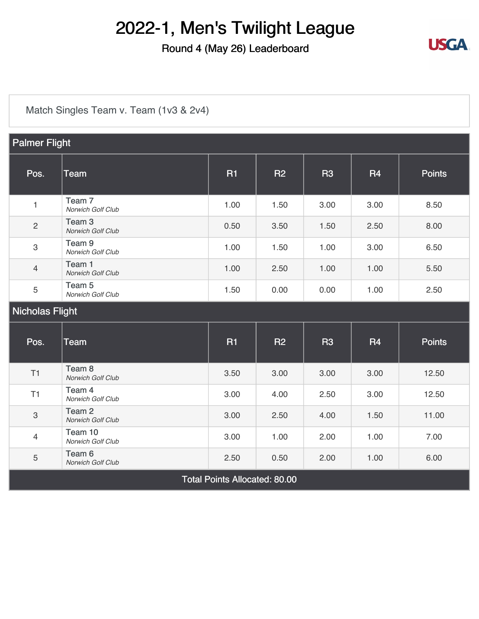### Round 4 (May 26) Leaderboard



[Match Singles Team v. Team \(1v3 & 2v4\)](https://static.golfgenius.com/v2tournaments/8326500891972633342?called_from=&round_index=4)

| <b>Palmer Flight</b>                 |                                        |           |           |                |           |               |
|--------------------------------------|----------------------------------------|-----------|-----------|----------------|-----------|---------------|
| Pos.                                 | <b>Team</b>                            | <b>R1</b> | <b>R2</b> | R <sub>3</sub> | <b>R4</b> | <b>Points</b> |
| $\mathbf{1}$                         | Team <sub>7</sub><br>Norwich Golf Club | 1.00      | 1.50      | 3.00           | 3.00      | 8.50          |
| $\overline{c}$                       | Team <sub>3</sub><br>Norwich Golf Club | 0.50      | 3.50      | 1.50           | 2.50      | 8.00          |
| 3                                    | Team <sub>9</sub><br>Norwich Golf Club | 1.00      | 1.50      | 1.00           | 3.00      | 6.50          |
| $\overline{4}$                       | Team 1<br>Norwich Golf Club            | 1.00      | 2.50      | 1.00           | 1.00      | 5.50          |
| $\sqrt{5}$                           | Team <sub>5</sub><br>Norwich Golf Club | 1.50      | 0.00      | 0.00           | 1.00      | 2.50          |
| Nicholas Flight                      |                                        |           |           |                |           |               |
| Pos.                                 | <b>Team</b>                            | <b>R1</b> | <b>R2</b> | <b>R3</b>      | <b>R4</b> | <b>Points</b> |
| T1                                   | Team <sub>8</sub><br>Norwich Golf Club | 3.50      | 3.00      | 3.00           | 3.00      | 12.50         |
| T1                                   | Team 4<br>Norwich Golf Club            | 3.00      | 4.00      | 2.50           | 3.00      | 12.50         |
| $\,3$                                | Team <sub>2</sub><br>Norwich Golf Club | 3.00      | 2.50      | 4.00           | 1.50      | 11.00         |
| $\overline{4}$                       | Team 10<br>Norwich Golf Club           | 3.00      | 1.00      | 2.00           | 1.00      | 7.00          |
| $\sqrt{5}$                           | Team <sub>6</sub><br>Norwich Golf Club | 2.50      | 0.50      | 2.00           | 1.00      | 6.00          |
| <b>Total Points Allocated: 80.00</b> |                                        |           |           |                |           |               |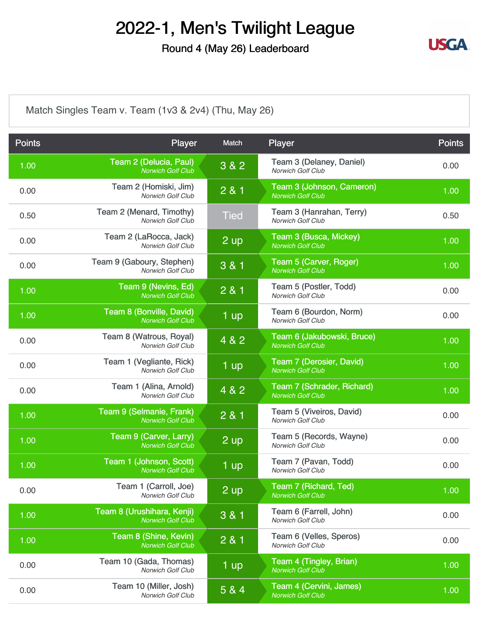Round 4 (May 26) Leaderboard



[Match Singles Team v. Team \(1v3 & 2v4\) \(Thu, May 26\)](https://static.golfgenius.com/v2tournaments/8326500902374507266?called_from=&round_index=4)

| <b>Points</b> | Player                                                 | Match       | Player                                                 | <b>Points</b> |
|---------------|--------------------------------------------------------|-------------|--------------------------------------------------------|---------------|
| 1.00          | Team 2 (Delucia, Paul)<br><b>Norwich Golf Club</b>     | 3 & 2       | Team 3 (Delaney, Daniel)<br>Norwich Golf Club          | 0.00          |
| 0.00          | Team 2 (Homiski, Jim)<br><b>Norwich Golf Club</b>      | 2 & 1       | Team 3 (Johnson, Cameron)<br><b>Norwich Golf Club</b>  | 1.00          |
| 0.50          | Team 2 (Menard, Timothy)<br><b>Norwich Golf Club</b>   | <b>Tied</b> | Team 3 (Hanrahan, Terry)<br>Norwich Golf Club          | 0.50          |
| 0.00          | Team 2 (LaRocca, Jack)<br>Norwich Golf Club            | 2 up        | Team 3 (Busca, Mickey)<br><b>Norwich Golf Club</b>     | 1.00          |
| 0.00          | Team 9 (Gaboury, Stephen)<br><b>Norwich Golf Club</b>  | 3 & 1       | Team 5 (Carver, Roger)<br><b>Norwich Golf Club</b>     | 1.00          |
| 1.00          | Team 9 (Nevins, Ed)<br><b>Norwich Golf Club</b>        | 2 & 1       | Team 5 (Postler, Todd)<br>Norwich Golf Club            | 0.00          |
| 1.00          | Team 8 (Bonville, David)<br><b>Norwich Golf Club</b>   | 1 up        | Team 6 (Bourdon, Norm)<br>Norwich Golf Club            | 0.00          |
| 0.00          | Team 8 (Watrous, Royal)<br><b>Norwich Golf Club</b>    | 4 & 2       | Team 6 (Jakubowski, Bruce)<br><b>Norwich Golf Club</b> | 1.00          |
| 0.00          | Team 1 (Vegliante, Rick)<br><b>Norwich Golf Club</b>   | 1 up        | Team 7 (Derosier, David)<br><b>Norwich Golf Club</b>   | 1.00          |
| 0.00          | Team 1 (Alina, Arnold)<br>Norwich Golf Club            | 4 & 2       | Team 7 (Schrader, Richard)<br><b>Norwich Golf Club</b> | 1.00          |
| 1.00          | Team 9 (Selmanie, Frank)<br><b>Norwich Golf Club</b>   | 2 & 1       | Team 5 (Viveiros, David)<br>Norwich Golf Club          | 0.00          |
| 1.00          | Team 9 (Carver, Larry)<br><b>Norwich Golf Club</b>     | 2 up        | Team 5 (Records, Wayne)<br><b>Norwich Golf Club</b>    | 0.00          |
| 1.00          | Team 1 (Johnson, Scott)<br><b>Norwich Golf Club</b>    | 1 up        | Team 7 (Pavan, Todd)<br>Norwich Golf Club              | 0.00          |
| 0.00          | Team 1 (Carroll, Joe)<br>Norwich Golf Club             | 2 up        | Team 7 (Richard, Ted)<br><b>Norwich Golf Club</b>      | 1.00          |
| 1.00          | Team 8 (Urushihara, Kenji)<br><b>Norwich Golf Club</b> | 3 & 1       | Team 6 (Farrell, John)<br><b>Norwich Golf Club</b>     | 0.00          |
| 1.00          | Team 8 (Shine, Kevin)<br><b>Norwich Golf Club</b>      | 2 & 1       | Team 6 (Velles, Speros)<br><b>Norwich Golf Club</b>    | 0.00          |
| 0.00          | Team 10 (Gada, Thomas)<br>Norwich Golf Club            | 1 up        | Team 4 (Tingley, Brian)<br><b>Norwich Golf Club</b>    | 1.00          |
| 0.00          | Team 10 (Miller, Josh)<br>Norwich Golf Club            | 5 & 4       | Team 4 (Cervini, James)<br><b>Norwich Golf Club</b>    | 1.00          |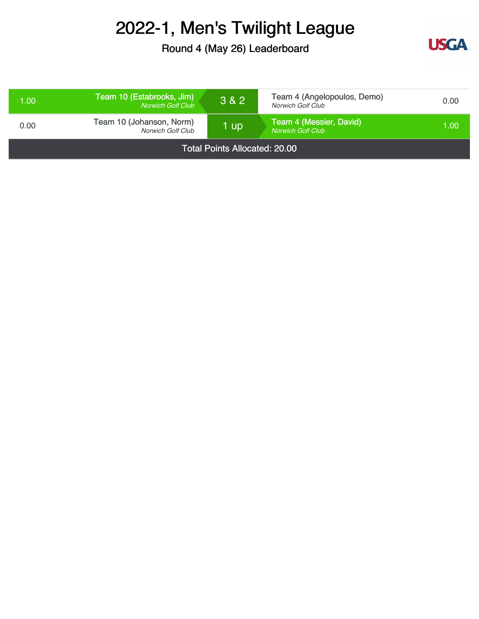Round 4 (May 26) Leaderboard



| 1.00                                 | Team 10 (Estabrooks, Jim)<br><b>Norwich Golf Club</b> | 3 & 2 | Team 4 (Angelopoulos, Demo)<br>Norwich Golf Club    | 0.00 |
|--------------------------------------|-------------------------------------------------------|-------|-----------------------------------------------------|------|
| 0.00                                 | Team 10 (Johanson, Norm)<br>Norwich Golf Club         | 1 up  | Team 4 (Messier, David)<br><b>Norwich Golf Club</b> | 1.00 |
| <b>Total Points Allocated: 20.00</b> |                                                       |       |                                                     |      |